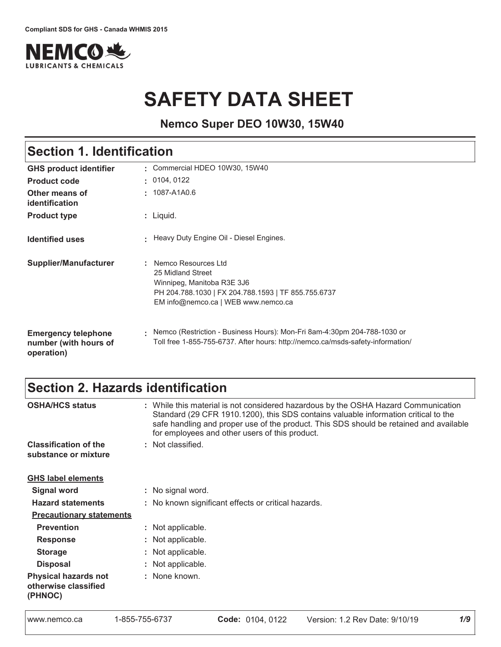

# **SAFETY DATA SHEET**

**Nemco Super DEO 10W30, 15W40**

## Section 1. Identification

| <b>GHS product identifier</b>                                     | Commercial HDEO 10W30, 15W40                                                                                                                                           |
|-------------------------------------------------------------------|------------------------------------------------------------------------------------------------------------------------------------------------------------------------|
| <b>Product code</b>                                               | : 0104, 0122                                                                                                                                                           |
| Other means of<br>identification                                  | : 1087-A1A0.6                                                                                                                                                          |
| <b>Product type</b>                                               | : Liquid.                                                                                                                                                              |
| <b>Identified uses</b>                                            | Heavy Duty Engine Oil - Diesel Engines.                                                                                                                                |
| <b>Supplier/Manufacturer</b>                                      | : Nemco Resources Ltd<br>25 Midland Street<br>Winnipeg, Manitoba R3E 3J6<br>PH 204.788.1030   FX 204.788.1593   TF 855.755.6737<br>EM info@nemco.ca   WEB www.nemco.ca |
| <b>Emergency telephone</b><br>number (with hours of<br>operation) | Nemco (Restriction - Business Hours): Mon-Fri 8am-4:30pm 204-788-1030 or<br>Toll free 1-855-755-6737. After hours: http://nemco.ca/msds-safety-information/            |

### Section 2. Hazards identification

| <b>OSHA/HCS status</b>                                         | : While this material is not considered hazardous by the OSHA Hazard Communication<br>Standard (29 CFR 1910.1200), this SDS contains valuable information critical to the<br>safe handling and proper use of the product. This SDS should be retained and available<br>for employees and other users of this product. |
|----------------------------------------------------------------|-----------------------------------------------------------------------------------------------------------------------------------------------------------------------------------------------------------------------------------------------------------------------------------------------------------------------|
| <b>Classification of the</b>                                   | : Not classified.                                                                                                                                                                                                                                                                                                     |
| substance or mixture                                           |                                                                                                                                                                                                                                                                                                                       |
| <b>GHS label elements</b>                                      |                                                                                                                                                                                                                                                                                                                       |
| <b>Signal word</b>                                             | : No signal word.                                                                                                                                                                                                                                                                                                     |
| <b>Hazard statements</b>                                       | : No known significant effects or critical hazards.                                                                                                                                                                                                                                                                   |
| <b>Precautionary statements</b>                                |                                                                                                                                                                                                                                                                                                                       |
| <b>Prevention</b>                                              | : Not applicable.                                                                                                                                                                                                                                                                                                     |
| <b>Response</b>                                                | : Not applicable.                                                                                                                                                                                                                                                                                                     |
| <b>Storage</b>                                                 | : Not applicable.                                                                                                                                                                                                                                                                                                     |
| <b>Disposal</b>                                                | : Not applicable.                                                                                                                                                                                                                                                                                                     |
| <b>Physical hazards not</b><br>otherwise classified<br>(PHNOC) | : None known.                                                                                                                                                                                                                                                                                                         |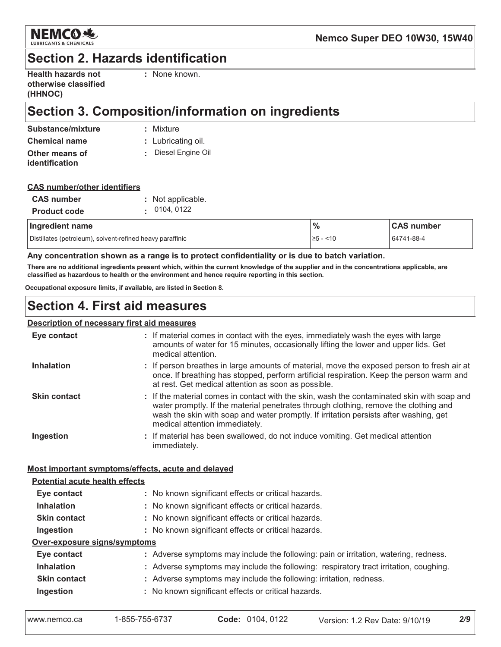

### **Section 2. Hazards identification**

| <b>Health hazards not</b> |
|---------------------------|
| otherwise classified      |
| (HHNOC)                   |

: None known.

### Section 3. Composition/information on ingredients

| Substance/mixture | : Mixture          |
|-------------------|--------------------|
| Chemical name     | : Lubricating oil. |
| Other means of    | Diesel Engine Oil  |
| identification    |                    |

#### **CAS number/other identifiers**

| <b>CAS</b> number   | : Not applicable. |  |  |  |  |
|---------------------|-------------------|--|--|--|--|
| <b>Product code</b> | . 0104, 0122      |  |  |  |  |

| Ingredient name                                           | $\frac{9}{6}$ | <b>CAS number</b> |
|-----------------------------------------------------------|---------------|-------------------|
| Distillates (petroleum), solvent-refined heavy paraffinic | ≥5 -<br>~10   | 64741-88-4        |

#### Any concentration shown as a range is to protect confidentiality or is due to batch variation.

There are no additional ingredients present which, within the current knowledge of the supplier and in the concentrations applicable, are classified as hazardous to health or the environment and hence require reporting in this section.

Occupational exposure limits, if available, are listed in Section 8.

### **Section 4. First aid measures**

#### Description of necessary first aid measures

| Eye contact                                        | : If material comes in contact with the eyes, immediately wash the eyes with large<br>amounts of water for 15 minutes, occasionally lifting the lower and upper lids. Get<br>medical attention.                                                                                                             |  |
|----------------------------------------------------|-------------------------------------------------------------------------------------------------------------------------------------------------------------------------------------------------------------------------------------------------------------------------------------------------------------|--|
| <b>Inhalation</b>                                  | : If person breathes in large amounts of material, move the exposed person to fresh air at<br>once. If breathing has stopped, perform artificial respiration. Keep the person warm and<br>at rest. Get medical attention as soon as possible.                                                               |  |
| <b>Skin contact</b>                                | If the material comes in contact with the skin, wash the contaminated skin with soap and<br>water promptly. If the material penetrates through clothing, remove the clothing and<br>wash the skin with soap and water promptly. If irritation persists after washing, get<br>medical attention immediately. |  |
| Ingestion                                          | If material has been swallowed, do not induce vomiting. Get medical attention<br>immediately.                                                                                                                                                                                                               |  |
| Most important symptoms/effects, acute and delayed |                                                                                                                                                                                                                                                                                                             |  |
| <b>Potential acute health effects</b>              |                                                                                                                                                                                                                                                                                                             |  |
| Eye contact                                        | : No known significant effects or critical hazards.                                                                                                                                                                                                                                                         |  |
| <b>Inhalation</b>                                  | : No known significant effects or critical hazards.                                                                                                                                                                                                                                                         |  |
| <b>Skin contact</b>                                | : No known significant effects or critical hazards.                                                                                                                                                                                                                                                         |  |
| Ingestion                                          | : No known significant effects or critical hazards.                                                                                                                                                                                                                                                         |  |
| Over-exposure signs/symptoms                       |                                                                                                                                                                                                                                                                                                             |  |
| Eye contact                                        | : Adverse symptoms may include the following: pain or irritation, watering, redness.                                                                                                                                                                                                                        |  |
| <b>Inhalation</b>                                  | : Adverse symptoms may include the following: respiratory tract irritation, coughing.                                                                                                                                                                                                                       |  |
| <b>Skin contact</b>                                | : Adverse symptoms may include the following: irritation, redness.                                                                                                                                                                                                                                          |  |
| In a <i>ation</i>                                  | . No known oignificant offects or eritiaal bazarde                                                                                                                                                                                                                                                          |  |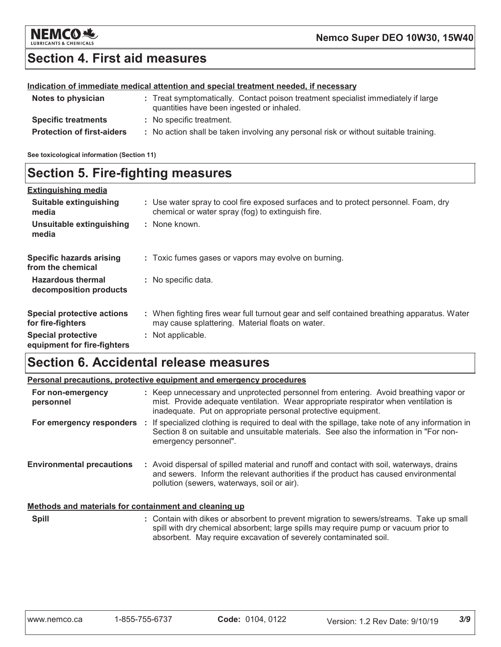

### **Section 4. First aid measures**

#### Indication of immediate medical attention and special treatment needed, if necessary

| Notes to physician                | : Treat symptomatically. Contact poison treatment specialist immediately if large<br>quantities have been ingested or inhaled. |
|-----------------------------------|--------------------------------------------------------------------------------------------------------------------------------|
| <b>Specific treatments</b>        | : No specific treatment.                                                                                                       |
| <b>Protection of first-aiders</b> | : No action shall be taken involving any personal risk or without suitable training.                                           |

See toxicological information (Section 11)

### **Section 5. Fire-fighting measures**

| <b>Extinguishing media</b>                               |                                                                                                                                                |
|----------------------------------------------------------|------------------------------------------------------------------------------------------------------------------------------------------------|
| Suitable extinguishing<br>media                          | : Use water spray to cool fire exposed surfaces and to protect personnel. Foam, dry<br>chemical or water spray (fog) to extinguish fire.       |
| Unsuitable extinguishing<br>media                        | : None known.                                                                                                                                  |
| <b>Specific hazards arising</b><br>from the chemical     | : Toxic fumes gases or vapors may evolve on burning.                                                                                           |
| <b>Hazardous thermal</b><br>decomposition products       | : No specific data.                                                                                                                            |
| <b>Special protective actions</b><br>for fire-fighters   | : When fighting fires wear full turnout gear and self contained breathing apparatus. Water<br>may cause splattering. Material floats on water. |
| <b>Special protective</b><br>equipment for fire-fighters | : Not applicable.                                                                                                                              |

### **Section 6. Accidental release measures**

|                                                       | <b>Personal precautions, protective equipment and emergency procedures</b>                                                                                                                                                                         |
|-------------------------------------------------------|----------------------------------------------------------------------------------------------------------------------------------------------------------------------------------------------------------------------------------------------------|
| For non-emergency<br>personnel                        | : Keep unnecessary and unprotected personnel from entering. Avoid breathing vapor or<br>mist. Provide adequate ventilation. Wear appropriate respirator when ventilation is<br>inadequate. Put on appropriate personal protective equipment.       |
|                                                       | For emergency responders : If specialized clothing is required to deal with the spillage, take note of any information in<br>Section 8 on suitable and unsuitable materials. See also the information in "For non-<br>emergency personnel".        |
| <b>Environmental precautions</b>                      | : Avoid dispersal of spilled material and runoff and contact with soil, waterways, drains<br>and sewers. Inform the relevant authorities if the product has caused environmental<br>pollution (sewers, waterways, soil or air).                    |
| Methods and materials for containment and cleaning up |                                                                                                                                                                                                                                                    |
| <b>Spill</b>                                          | : Contain with dikes or absorbent to prevent migration to sewers/streams. Take up small<br>spill with dry chemical absorbent; large spills may require pump or vacuum prior to<br>absorbent. May require excavation of severely contaminated soil. |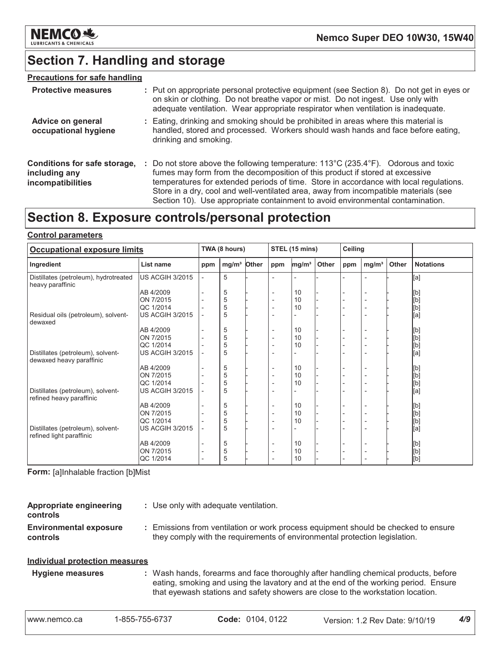

### **Section 7. Handling and storage**

#### **Precautions for safe handling**

| <b>Protective measures</b>                                         | : Put on appropriate personal protective equipment (see Section 8). Do not get in eyes or<br>on skin or clothing. Do not breathe vapor or mist. Do not ingest. Use only with<br>adequate ventilation. Wear appropriate respirator when ventilation is inadequate.                                                                                                                                                                                           |
|--------------------------------------------------------------------|-------------------------------------------------------------------------------------------------------------------------------------------------------------------------------------------------------------------------------------------------------------------------------------------------------------------------------------------------------------------------------------------------------------------------------------------------------------|
| Advice on general<br>occupational hygiene                          | : Eating, drinking and smoking should be prohibited in areas where this material is<br>handled, stored and processed. Workers should wash hands and face before eating,<br>drinking and smoking.                                                                                                                                                                                                                                                            |
| Conditions for safe storage,<br>including any<br>incompatibilities | : Do not store above the following temperature: $113^{\circ}$ C (235.4 $^{\circ}$ F). Odorous and toxic<br>fumes may form from the decomposition of this product if stored at excessive<br>temperatures for extended periods of time. Store in accordance with local regulations.<br>Store in a dry, cool and well-ventilated area, away from incompatible materials (see<br>Section 10). Use appropriate containment to avoid environmental contamination. |

### Section 8. Exposure controls/personal protection

#### **Control parameters**

| <b>Occupational exposure limits</b>                           |                        |                          | TWA (8 hours)     |       |                              | STEL (15 mins)    |       |     | Ceiling                  |       |                                                                                                                                                                                                  |
|---------------------------------------------------------------|------------------------|--------------------------|-------------------|-------|------------------------------|-------------------|-------|-----|--------------------------|-------|--------------------------------------------------------------------------------------------------------------------------------------------------------------------------------------------------|
| Ingredient                                                    | List name              | ppm                      | mg/m <sup>3</sup> | Other | ppm                          | mg/m <sup>3</sup> | Other | ppm | mg/m <sup>3</sup>        | Other | <b>Notations</b>                                                                                                                                                                                 |
| Distillates (petroleum), hydrotreated<br>heavy paraffinic     | <b>US ACGIH 3/2015</b> | $\overline{\phantom{a}}$ | 5                 |       |                              |                   |       |     |                          |       | [a]                                                                                                                                                                                              |
|                                                               | AB 4/2009              |                          | 5                 |       |                              | 10                |       |     | $\overline{a}$           |       | [b]                                                                                                                                                                                              |
|                                                               | ON 7/2015              |                          | 5                 |       | $\overline{\phantom{0}}$     | 10                |       |     | $\overline{a}$           |       | $[b] % \begin{center} % \includegraphics[width=\linewidth]{imagesSupplemental_3.png} % \end{center} % \caption { % Our method can be used for the use of the image. % } % \label{fig:example} %$ |
|                                                               | QC 1/2014              |                          | 5                 |       |                              | 10                |       |     | $\overline{a}$           |       | [b]                                                                                                                                                                                              |
| Residual oils (petroleum), solvent-<br>dewaxed                | <b>US ACGIH 3/2015</b> |                          | 5                 |       | $\overline{\phantom{0}}$     |                   |       |     | $\overline{a}$           |       | [a]                                                                                                                                                                                              |
|                                                               | AB 4/2009              |                          | 5                 |       | $\overline{\phantom{a}}$     | 10                |       |     | $\overline{a}$           |       | [b]                                                                                                                                                                                              |
|                                                               | ON 7/2015              |                          | 5                 |       |                              | 10                |       |     | $\overline{\phantom{a}}$ |       |                                                                                                                                                                                                  |
|                                                               | QC 1/2014              |                          | 5                 |       |                              | 10                |       |     |                          |       |                                                                                                                                                                                                  |
| Distillates (petroleum), solvent-<br>dewaxed heavy paraffinic | <b>US ACGIH 3/2015</b> |                          | 5                 |       |                              |                   |       |     |                          |       | [b]<br>[b]<br>[a]                                                                                                                                                                                |
|                                                               | AB 4/2009              |                          | 5                 |       | $\overline{\phantom{a}}$     | 10                |       |     | $\overline{a}$           |       | [b]                                                                                                                                                                                              |
|                                                               | ON 7/2015              |                          | 5                 |       | $\overline{\phantom{0}}$     | 10                |       |     | $\overline{\phantom{0}}$ |       | [b]                                                                                                                                                                                              |
|                                                               | QC 1/2014              |                          | 5                 |       | $\qquad \qquad \blacksquare$ | 10                |       |     | $\overline{a}$           |       | [b]                                                                                                                                                                                              |
| Distillates (petroleum), solvent-<br>refined heavy paraffinic | <b>US ACGIH 3/2015</b> |                          | 5                 |       |                              |                   |       |     |                          |       | [a]                                                                                                                                                                                              |
|                                                               | AB 4/2009              |                          | 5                 |       |                              | 10                |       |     | $\overline{\phantom{0}}$ |       | [b]                                                                                                                                                                                              |
|                                                               | ON 7/2015              |                          | 5                 |       | $\overline{\phantom{0}}$     | 10                |       |     | $\overline{\phantom{a}}$ |       | [b]<br>[b]<br>[a]                                                                                                                                                                                |
|                                                               | QC 1/2014              |                          | 5                 |       |                              | 10                |       |     | $\overline{a}$           |       |                                                                                                                                                                                                  |
| Distillates (petroleum), solvent-<br>refined light paraffinic | <b>US ACGIH 3/2015</b> |                          | 5                 |       |                              |                   |       |     |                          |       |                                                                                                                                                                                                  |
|                                                               | AB 4/2009              |                          | 5                 |       | $\overline{\phantom{0}}$     | 10                |       |     | $\overline{\phantom{0}}$ |       | [b]                                                                                                                                                                                              |
|                                                               | ON 7/2015              | $\overline{\phantom{a}}$ | 5                 |       | $\overline{\phantom{a}}$     | 10                |       |     | $\overline{\phantom{a}}$ |       | $[b] % \begin{center} % \includegraphics[width=\linewidth]{imagesSupplemental_3.png} % \end{center} % \caption { % Our method can be used for the use of the image. % } % \label{fig:example} %$ |
|                                                               | QC 1/2014              |                          | 5                 |       |                              | 10                |       |     |                          |       | [b]                                                                                                                                                                                              |

Form: [a]Inhalable fraction [b]Mist

| Appropriate engineering<br>controls                    | : Use only with adequate ventilation.                                                                                                                          |
|--------------------------------------------------------|----------------------------------------------------------------------------------------------------------------------------------------------------------------|
| <b>Environmental exposure</b><br>controls              | Emissions from ventilation or work process equipment should be checked to ensure<br>they comply with the requirements of environmental protection legislation. |
| the alternative at a considerable converges a second a |                                                                                                                                                                |

### **Individual protection measures**

: Wash hands, forearms and face thoroughly after handling chemical products, before **Hygiene measures** eating, smoking and using the lavatory and at the end of the working period. Ensure that eyewash stations and safety showers are close to the workstation location.

 $4/9$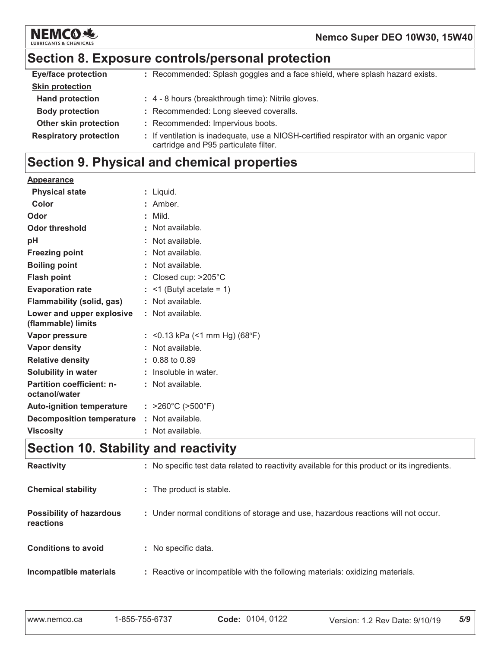

### Section 8. Exposure controls/personal protection

| <b>Eye/face protection</b>    | : Recommended: Splash goggles and a face shield, where splash hazard exists.                                                    |
|-------------------------------|---------------------------------------------------------------------------------------------------------------------------------|
| <b>Skin protection</b>        |                                                                                                                                 |
| <b>Hand protection</b>        | : 4 - 8 hours (breakthrough time): Nitrile gloves.                                                                              |
| <b>Body protection</b>        | : Recommended: Long sleeved coveralls.                                                                                          |
| Other skin protection         | : Recommended: Impervious boots.                                                                                                |
| <b>Respiratory protection</b> | : If ventilation is inadequate, use a NIOSH-certified respirator with an organic vapor<br>cartridge and P95 particulate filter. |

### Section 9. Physical and chemical properties

| <b>Appearance</b>                                 |                                        |
|---------------------------------------------------|----------------------------------------|
| <b>Physical state</b>                             | : Liquid.                              |
| Color                                             | : Amber.                               |
| Odor                                              | $:$ Mild.                              |
| Odor threshold                                    | : Not available.                       |
| pH                                                | : Not available.                       |
| <b>Freezing point</b>                             | : Not available.                       |
| <b>Boiling point</b>                              | : Not available.                       |
| <b>Flash point</b>                                | : Closed cup: $>205^{\circ}$ C         |
| <b>Evaporation rate</b>                           | $:$ <1 (Butyl acetate = 1)             |
| <b>Flammability (solid, gas)</b>                  | : Not available.                       |
| Lower and upper explosive<br>(flammable) limits   | : Not available.                       |
| <b>Vapor pressure</b>                             | : <0.13 kPa (<1 mm Hg) (68°F)          |
| Vapor density                                     | : Not available.                       |
| <b>Relative density</b>                           | $: 0.88$ to 0.89                       |
| Solubility in water                               | : Insoluble in water.                  |
| <b>Partition coefficient: n-</b><br>octanol/water | : Not available.                       |
| <b>Auto-ignition temperature</b>                  | : $>260^{\circ}$ C ( $>500^{\circ}$ F) |
| <b>Decomposition temperature</b>                  | : Not available.                       |
| <b>Viscosity</b>                                  | : Not available.                       |
| Coofian 40 Ctability and readivity.               |                                        |

### |Section 10. Stability and reactivity

| <b>Reactivity</b>                            | : No specific test data related to reactivity available for this product or its ingredients. |
|----------------------------------------------|----------------------------------------------------------------------------------------------|
| <b>Chemical stability</b>                    | : The product is stable.                                                                     |
| <b>Possibility of hazardous</b><br>reactions | : Under normal conditions of storage and use, hazardous reactions will not occur.            |
| <b>Conditions to avoid</b>                   | : No specific data.                                                                          |
| Incompatible materials                       | : Reactive or incompatible with the following materials: oxidizing materials.                |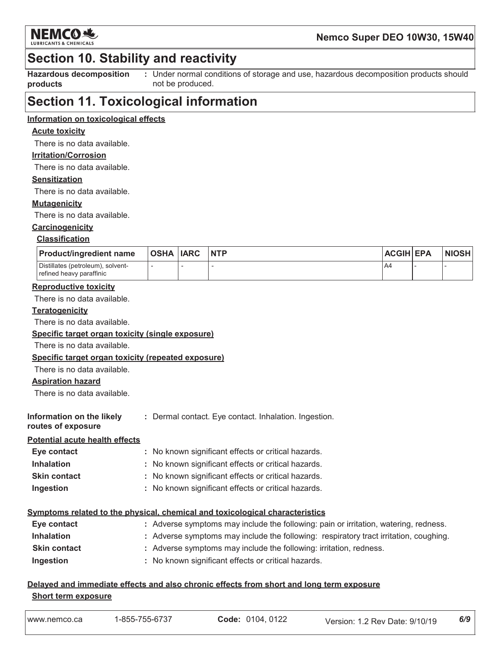

### **Section 10. Stability and reactivity**

**Hazardous decomposition** products

: Under normal conditions of storage and use, hazardous decomposition products should not be produced.

### **Section 11. Toxicological information**

#### Information on toxicological effects

#### **Acute toxicity**

There is no data available.

#### **Irritation/Corrosion**

There is no data available.

#### **Sensitization**

There is no data available.

#### **Mutagenicity**

There is no data available.

### Carcinogenicity

#### **Classification**

| <b>Product/ingredient name</b>                                | OSHA  IARC | <b>NTP</b> | <b>ACGIH EPA</b> | <b>NIOSH</b> |
|---------------------------------------------------------------|------------|------------|------------------|--------------|
| Distillates (petroleum), solvent-<br>refined heavy paraffinic |            |            | A4               |              |

#### **Reproductive toxicity**

There is no data available.

#### **Teratogenicity**

There is no data available.

#### Specific target organ toxicity (single exposure)

There is no data available.

#### Specific target organ toxicity (repeated exposure)

There is no data available.

#### **Aspiration hazard**

There is no data available

| Information on the likely | : Dermal contact. Eye contact. Inhalation. Ingestion. |
|---------------------------|-------------------------------------------------------|
| routes of exposure        |                                                       |

#### **Potential acute health effects**

| Eye contact         | : No known significant effects or critical hazards. |
|---------------------|-----------------------------------------------------|
| <b>Inhalation</b>   | : No known significant effects or critical hazards. |
| <b>Skin contact</b> | : No known significant effects or critical hazards. |
| Ingestion           | : No known significant effects or critical hazards. |

#### Symptoms related to the physical, chemical and toxicological characteristics

| Eye contact         | : Adverse symptoms may include the following: pain or irritation, watering, redness.  |
|---------------------|---------------------------------------------------------------------------------------|
| <b>Inhalation</b>   | : Adverse symptoms may include the following: respiratory tract irritation, coughing. |
| <b>Skin contact</b> | : Adverse symptoms may include the following: irritation, redness.                    |
| Ingestion           | : No known significant effects or critical hazards.                                   |

#### Delayed and immediate effects and also chronic effects from short and long term exposure **Short term exposure**

| www.nemco.ca<br>Version: 1.2 Rev Date: 9/10/19 |  | I-855-755-6737 | Code: 0104, 0122 |  | 6/9 |
|------------------------------------------------|--|----------------|------------------|--|-----|
|------------------------------------------------|--|----------------|------------------|--|-----|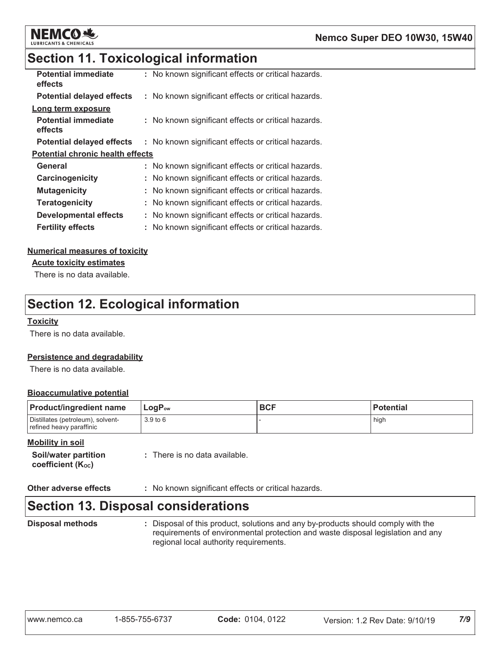

### **Section 11. Toxicological information**

| <b>Potential immediate</b><br>effects   | : No known significant effects or critical hazards. |
|-----------------------------------------|-----------------------------------------------------|
| <b>Potential delayed effects</b>        | : No known significant effects or critical hazards. |
| Long term exposure                      |                                                     |
| <b>Potential immediate</b><br>effects   | : No known significant effects or critical hazards. |
| <b>Potential delayed effects</b>        | : No known significant effects or critical hazards. |
| <b>Potential chronic health effects</b> |                                                     |
| General                                 | : No known significant effects or critical hazards. |
| Carcinogenicity                         | : No known significant effects or critical hazards. |
| <b>Mutagenicity</b>                     | No known significant effects or critical hazards.   |
| <b>Teratogenicity</b>                   | : No known significant effects or critical hazards. |
| <b>Developmental effects</b>            | No known significant effects or critical hazards.   |
| <b>Fertility effects</b>                | : No known significant effects or critical hazards. |

#### **Numerical measures of toxicity**

**Acute toxicity estimates** 

There is no data available.

### **Section 12. Ecological information**

#### **Toxicity**

There is no data available.

#### Persistence and degradability

There is no data available.

#### **Bioaccumulative potential**

| <b>Product/ingredient name</b>                                | $LogP_{ow}$ | <b>BCF</b> | <b>Potential</b> |
|---------------------------------------------------------------|-------------|------------|------------------|
| Distillates (petroleum), solvent-<br>refined heavy paraffinic | 3.9 to 6    |            | high             |

#### **Mobility in soil**

| <b>Soil/water partition</b>   | : There is no data available |
|-------------------------------|------------------------------|
| coefficient $(K_{\text{oc}})$ |                              |

| Other adverse effects | : No known significant effects or critical hazards. |
|-----------------------|-----------------------------------------------------|
|-----------------------|-----------------------------------------------------|

### **Section 13. Disposal considerations**

**Disposal methods** 

: Disposal of this product, solutions and any by-products should comply with the requirements of environmental protection and waste disposal legislation and any regional local authority requirements.

| www.nemco.ca |  |
|--------------|--|
|              |  |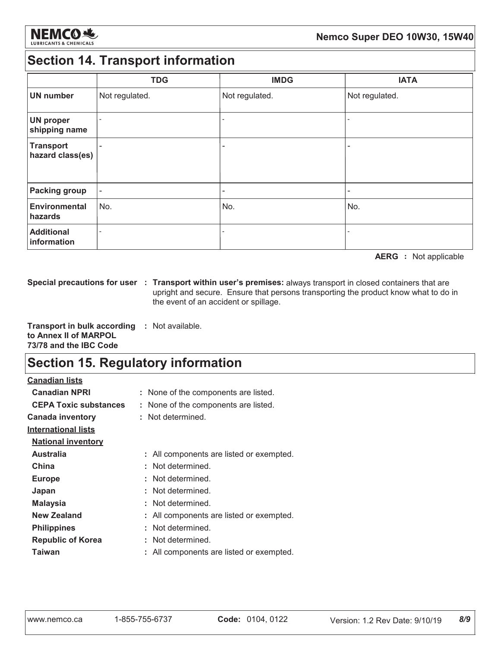

### **Section 14. Transport information**

|                                      | <b>TDG</b>               | <b>IMDG</b>    | <b>IATA</b>    |
|--------------------------------------|--------------------------|----------------|----------------|
| <b>UN number</b>                     | Not regulated.           | Not regulated. | Not regulated. |
| <b>UN proper</b><br>shipping name    | $\overline{\phantom{0}}$ |                |                |
| <b>Transport</b><br>hazard class(es) | $\overline{\phantom{0}}$ |                | ۰              |
| <b>Packing group</b>                 | $\overline{\phantom{a}}$ |                | ۰              |
| <b>Environmental</b><br>hazards      | No.                      | No.            | No.            |
| <b>Additional</b><br>information     |                          |                |                |

**AERG** : Not applicable

Special precautions for user : Transport within user's premises: always transport in closed containers that are upright and secure. Ensure that persons transporting the product know what to do in the event of an accident or spillage.

Transport in bulk according : Not available. to Annex II of MARPOL 73/78 and the IBC Code

### **Section 15. Regulatory information**

| <b>Canadian lists</b>        |                                          |
|------------------------------|------------------------------------------|
| <b>Canadian NPRI</b>         | : None of the components are listed.     |
| <b>CEPA Toxic substances</b> | None of the components are listed.       |
| <b>Canada inventory</b>      | : Not determined.                        |
| <b>International lists</b>   |                                          |
| <b>National inventory</b>    |                                          |
| <b>Australia</b>             | : All components are listed or exempted. |
| China                        | : Not determined.                        |
| <b>Europe</b>                | : Not determined.                        |
| Japan                        | : Not determined.                        |
| <b>Malaysia</b>              | : Not determined.                        |
| New Zealand                  | : All components are listed or exempted. |
| <b>Philippines</b>           | : Not determined.                        |
| <b>Republic of Korea</b>     | : Not determined.                        |
| Taiwan                       | All components are listed or exempted.   |
|                              |                                          |